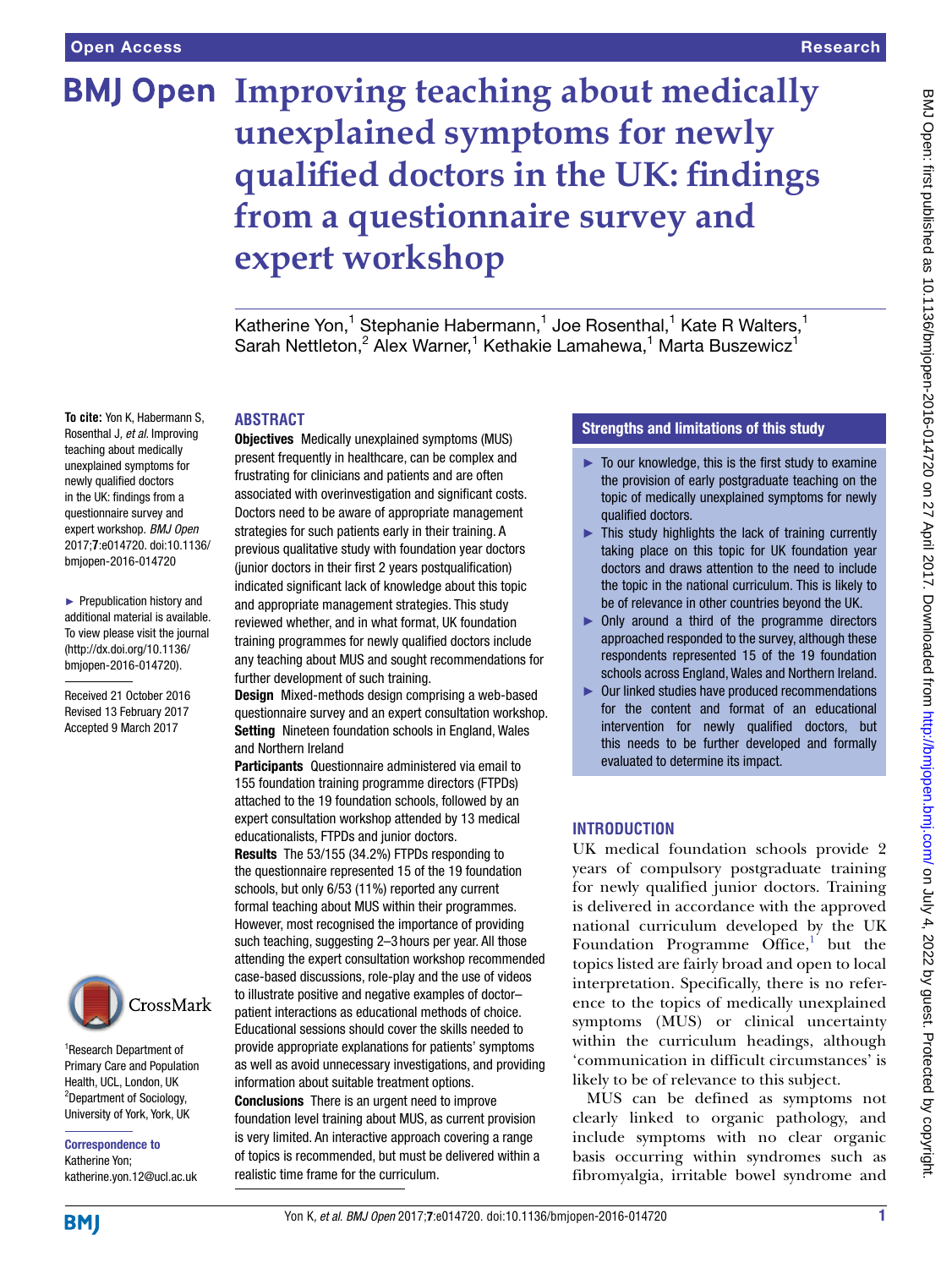# **BMJ Open Improving teaching about medically unexplained symptoms for newly qualified doctors in the UK: findings from a questionnaire survey and expert workshop**

Katherine Yon,<sup>1</sup> Stephanie Habermann,<sup>1</sup> Joe Rosenthal,<sup>1</sup> Kate R Walters,<sup>1</sup> Sarah Nettleton,<sup>2</sup> Alex Warner,<sup>1</sup> Kethakie Lamahewa,<sup>1</sup> Marta Buszewicz<sup>1</sup>

#### **ABSTRACT**

**To cite:** Yon K, Habermann S, Rosenthal J*, et al*. Improving teaching about medically unexplained symptoms for newly qualified doctors in the UK: findings from a questionnaire survey and expert workshop. *BMJ Open* 2017;**7**:e014720. doi:10.1136/ bmjopen-2016-014720

► Prepublication history and additional material is available. To view please visit the journal [\(http://dx.doi.org/10.1136/](http://dx.doi.org/10.1136/bmjopen-2016-014720) [bmjopen-2016-014720](http://dx.doi.org/10.1136/bmjopen-2016-014720)).

Received 21 October 2016 Revised 13 February 2017 Accepted 9 March 2017



1 Research Department of Primary Care and Population Health, UCL, London, UK <sup>2</sup>Department of Sociology, University of York, York, UK

Correspondence to Katherine Yon; katherine.yon.12@ucl.ac.uk Objectives Medically unexplained symptoms (MUS) present frequently in healthcare, can be complex and frustrating for clinicians and patients and are often associated with overinvestigation and significant costs. Doctors need to be aware of appropriate management strategies for such patients early in their training. A previous qualitative study with foundation year doctors (junior doctors in their first 2 years postqualification) indicated significant lack of knowledge about this topic and appropriate management strategies. This study reviewed whether, and in what format, UK foundation training programmes for newly qualified doctors include any teaching about MUS and sought recommendations for further development of such training.

Design Mixed-methods design comprising a web-based questionnaire survey and an expert consultation workshop. Setting Nineteen foundation schools in England, Wales and Northern Ireland

Participants Questionnaire administered via email to 155 foundation training programme directors (FTPDs) attached to the 19 foundation schools, followed by an expert consultation workshop attended by 13 medical educationalists, FTPDs and junior doctors.

Results The 53/155 (34.2%) FTPDs responding to the questionnaire represented 15 of the 19 foundation schools, but only 6/53 (11%) reported any current formal teaching about MUS within their programmes. However, most recognised the importance of providing such teaching, suggesting 2–3 hours per year. All those attending the expert consultation workshop recommended case-based discussions, role-play and the use of videos to illustrate positive and negative examples of doctor– patient interactions as educational methods of choice. Educational sessions should cover the skills needed to provide appropriate explanations for patients' symptoms as well as avoid unnecessary investigations, and providing information about suitable treatment options. Conclusions There is an urgent need to improve foundation level training about MUS, as current provision is very limited. An interactive approach covering a range of topics is recommended, but must be delivered within a

realistic time frame for the curriculum.

## Strengths and limitations of this study

- $\blacktriangleright$  To our knowledge, this is the first study to examine the provision of early postgraduate teaching on the topic of medically unexplained symptoms for newly qualified doctors.
- ► This study highlights the lack of training currently taking place on this topic for UK foundation year doctors and draws attention to the need to include the topic in the national curriculum. This is likely to be of relevance in other countries beyond the UK.
- ► Only around a third of the programme directors approached responded to the survey, although these respondents represented 15 of the 19 foundation schools across England, Wales and Northern Ireland.
- ► Our linked studies have produced recommendations for the content and format of an educational intervention for newly qualified doctors, but this needs to be further developed and formally evaluated to determine its impact.

# **INTRODUCTION**

UK medical foundation schools provide 2 years of compulsory postgraduate training for newly qualified junior doctors. Training is delivered in accordance with the approved national curriculum developed by the UK Foundation Programme  $\widehat{O}$ ffice,<sup>[1](#page-6-0)</sup> but the topics listed are fairly broad and open to local interpretation. Specifically, there is no reference to the topics of medically unexplained symptoms (MUS) or clinical uncertainty within the curriculum headings, although 'communication in difficult circumstances' is likely to be of relevance to this subject.

MUS can be defined as symptoms not clearly linked to organic pathology, and include symptoms with no clear organic basis occurring within syndromes such as fibromyalgia, irritable bowel syndrome and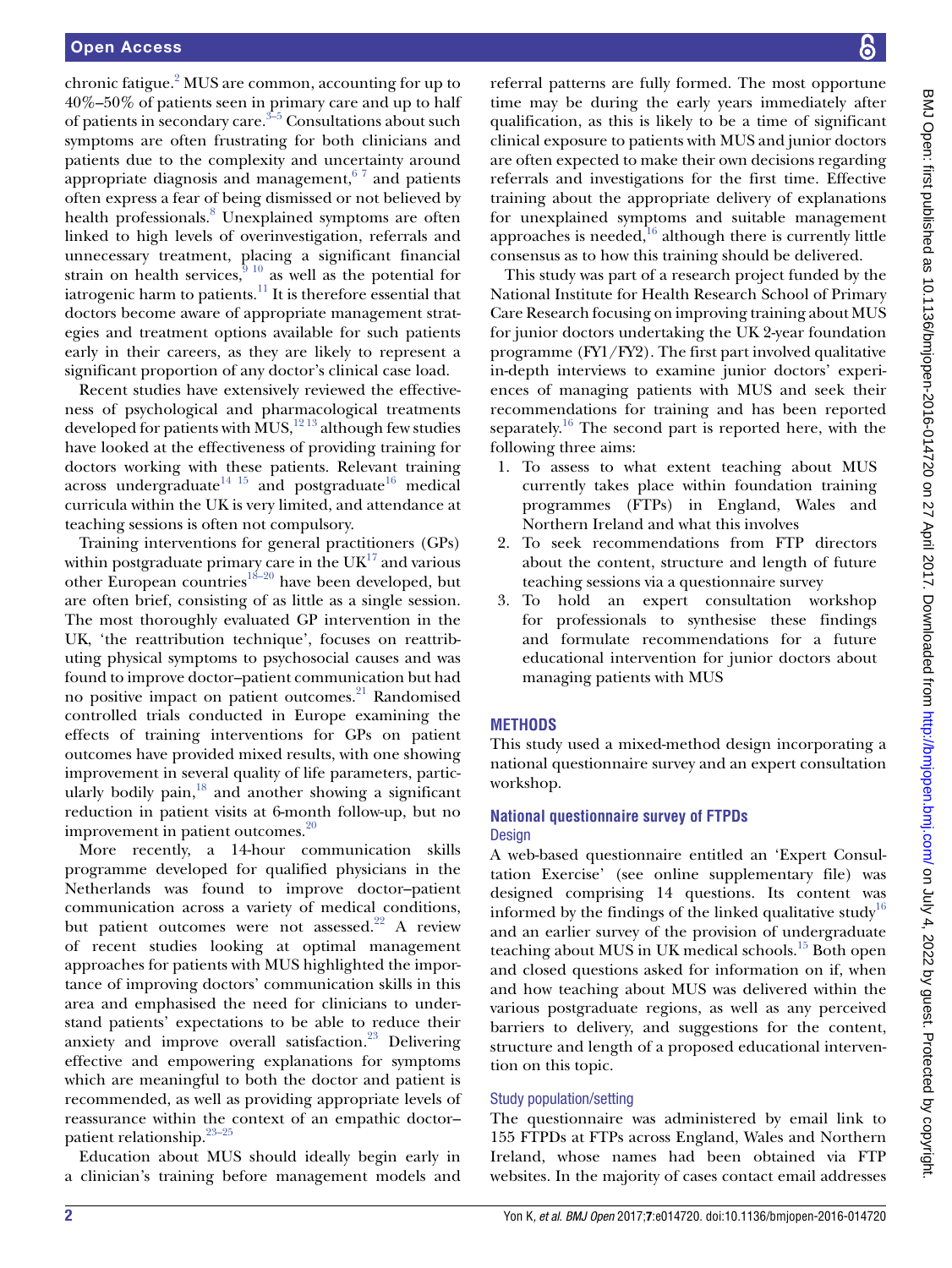chronic fatigue.<sup>[2](#page-6-1)</sup> MUS are common, accounting for up to 40%–50% of patients seen in primary care and up to half of patients in secondary care.<sup> $3-5$ </sup> Consultations about such symptoms are often frustrating for both clinicians and patients due to the complexity and uncertainty around appropriate diagnosis and management,  $67$  and patients often express a fear of being dismissed or not believed by health professionals.<sup>8</sup> Unexplained symptoms are often linked to high levels of overinvestigation, referrals and unnecessary treatment, placing a significant financial strain on health services,  $\frac{9}{9}$  10 as well as the potential for iatrogenic harm to patients. $\frac{11}{11}$  It is therefore essential that doctors become aware of appropriate management strategies and treatment options available for such patients early in their careers, as they are likely to represent a significant proportion of any doctor's clinical case load.

Recent studies have extensively reviewed the effectiveness of psychological and pharmacological treatments developed for patients with MUS, $^{12}$ <sup>13</sup> although few studies have looked at the effectiveness of providing training for doctors working with these patients. Relevant training across undergraduate<sup>14 15</sup> and postgraduate<sup>16</sup> medical curricula within the UK is very limited, and attendance at teaching sessions is often not compulsory.

Training interventions for general practitioners (GPs) within postgraduate primary care in the  $UK<sup>17</sup>$  $UK<sup>17</sup>$  $UK<sup>17</sup>$  and various other European countries<sup>18–20</sup> have been developed, but are often brief, consisting of as little as a single session. The most thoroughly evaluated GP intervention in the UK, 'the reattribution technique', focuses on reattributing physical symptoms to psychosocial causes and was found to improve doctor–patient communication but had no positive impact on patient outcomes.<sup>21</sup> Randomised controlled trials conducted in Europe examining the effects of training interventions for GPs on patient outcomes have provided mixed results, with one showing improvement in several quality of life parameters, particularly bodily pain, $18$  and another showing a significant reduction in patient visits at 6-month follow-up, but no improvement in patient outcomes.<sup>[20](#page-6-13)</sup>

More recently, a 14-hour communication skills programme developed for qualified physicians in the Netherlands was found to improve doctor–patient communication across a variety of medical conditions, but patient outcomes were not assessed.<sup>[22](#page-6-14)</sup> A review of recent studies looking at optimal management approaches for patients with MUS highlighted the importance of improving doctors' communication skills in this area and emphasised the need for clinicians to understand patients' expectations to be able to reduce their anxiety and improve overall satisfaction.<sup>23</sup> Delivering effective and empowering explanations for symptoms which are meaningful to both the doctor and patient is recommended, as well as providing appropriate levels of reassurance within the context of an empathic doctor– patient relationship.[23–25](#page-6-15)

Education about MUS should ideally begin early in a clinician's training before management models and

referral patterns are fully formed. The most opportune time may be during the early years immediately after qualification, as this is likely to be a time of significant clinical exposure to patients with MUS and junior doctors are often expected to make their own decisions regarding referrals and investigations for the first time. Effective training about the appropriate delivery of explanations for unexplained symptoms and suitable management approaches is needed, $16$  although there is currently little consensus as to how this training should be delivered.

This study was part of a research project funded by the National Institute for Health Research School of Primary Care Research focusing on improving training about MUS for junior doctors undertaking the UK 2-year foundation programme (FY1/FY2). The first part involved qualitative in-depth interviews to examine junior doctors' experiences of managing patients with MUS and seek their recommendations for training and has been reported separately.<sup>16</sup> The second part is reported here, with the following three aims:

- 1. To assess to what extent teaching about MUS currently takes place within foundation training programmes (FTPs) in England, Wales and Northern Ireland and what this involves
- 2. To seek recommendations from FTP directors about the content, structure and length of future teaching sessions via a questionnaire survey
- 3. To hold an expert consultation workshop for professionals to synthesise these findings and formulate recommendations for a future educational intervention for junior doctors about managing patients with MUS

# **METHODS**

This study used a mixed-method design incorporating a national questionnaire survey and an expert consultation workshop.

## **National questionnaire survey of FTPDs Design**

A web-based questionnaire entitled an 'Expert Consultation Exercise' (see online supplementary file) was designed comprising 14 questions. Its content was informed by the findings of the linked qualitative study<sup>[16](#page-6-9)</sup> and an earlier survey of the provision of undergraduate teaching about MUS in UK medical schools.<sup>15</sup> Both open and closed questions asked for information on if, when and how teaching about MUS was delivered within the various postgraduate regions, as well as any perceived barriers to delivery, and suggestions for the content, structure and length of a proposed educational intervention on this topic.

# Study population/setting

The questionnaire was administered by email link to 155 FTPDs at FTPs across England, Wales and Northern Ireland, whose names had been obtained via FTP websites. In the majority of cases contact email addresses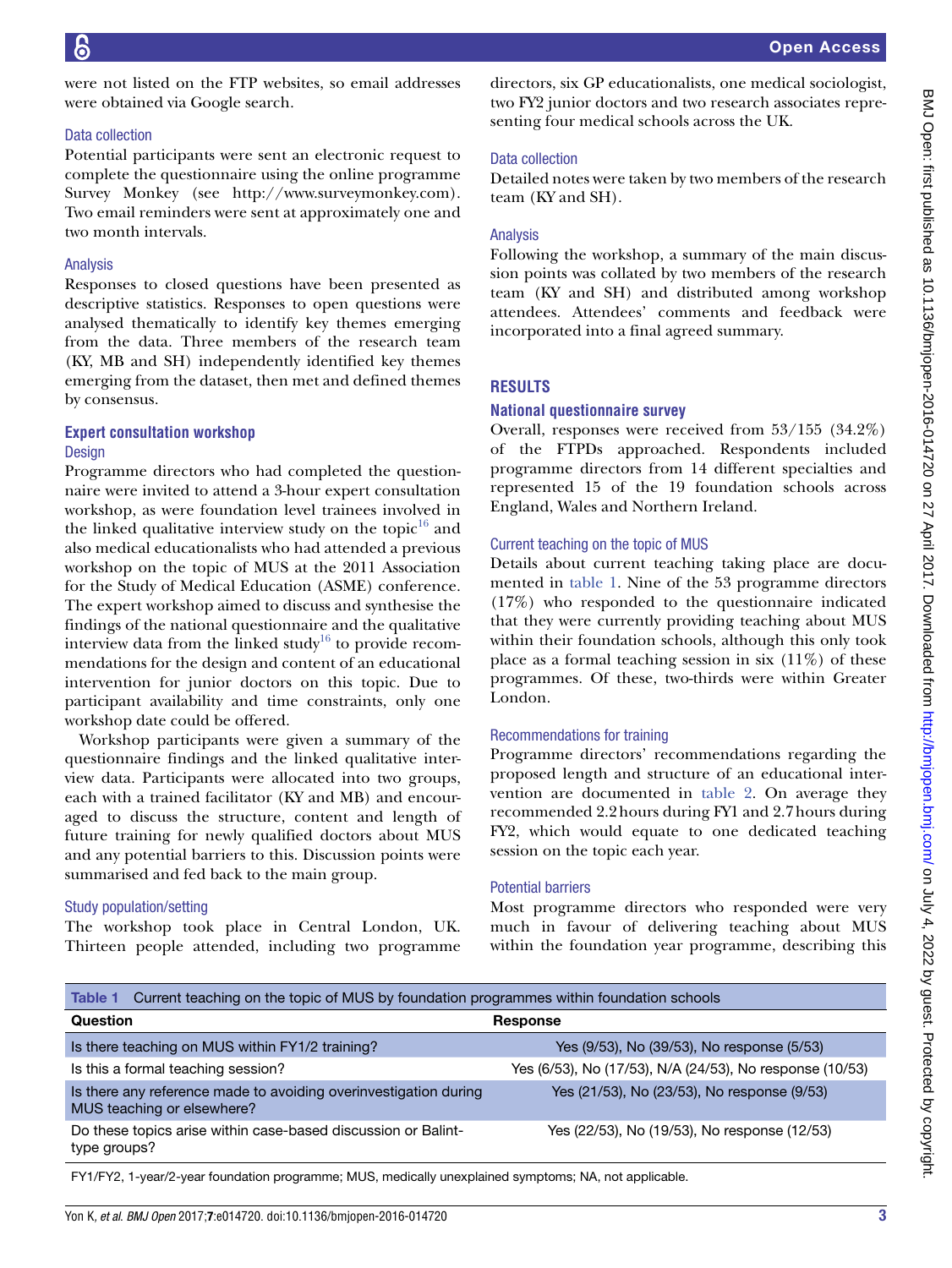were not listed on the FTP websites, so email addresses were obtained via Google search.

#### Data collection

Potential participants were sent an electronic request to complete the questionnaire using the online programme Survey Monkey (see <http://www.surveymonkey.com>). Two email reminders were sent at approximately one and two month intervals.

#### Analysis

Responses to closed questions have been presented as descriptive statistics. Responses to open questions were analysed thematically to identify key themes emerging from the data. Three members of the research team (KY, MB and SH) independently identified key themes emerging from the dataset, then met and defined themes by consensus.

#### **Expert consultation workshop** Design

Programme directors who had completed the questionnaire were invited to attend a 3-hour expert consultation workshop, as were foundation level trainees involved in the linked qualitative interview study on the topic $16$  and also medical educationalists who had attended a previous workshop on the topic of MUS at the 2011 Association for the Study of Medical Education (ASME) conference. The expert workshop aimed to discuss and synthesise the findings of the national questionnaire and the qualitative interview data from the linked study<sup>16</sup> to provide recommendations for the design and content of an educational intervention for junior doctors on this topic. Due to participant availability and time constraints, only one workshop date could be offered.

Workshop participants were given a summary of the questionnaire findings and the linked qualitative interview data. Participants were allocated into two groups, each with a trained facilitator (KY and MB) and encouraged to discuss the structure, content and length of future training for newly qualified doctors about MUS and any potential barriers to this. Discussion points were summarised and fed back to the main group.

## Study population/setting

The workshop took place in Central London, UK. Thirteen people attended, including two programme

directors, six GP educationalists, one medical sociologist, two FY2 junior doctors and two research associates representing four medical schools across the UK.

## Data collection

Detailed notes were taken by two members of the research team (KY and SH).

## Analysis

Following the workshop, a summary of the main discussion points was collated by two members of the research team (KY and SH) and distributed among workshop attendees. Attendees' comments and feedback were incorporated into a final agreed summary.

## **RESULTS**

## **National questionnaire survey**

Overall, responses were received from 53/155 (34.2%) of the FTPDs approached. Respondents included programme directors from 14 different specialties and represented 15 of the 19 foundation schools across England, Wales and Northern Ireland.

## Current teaching on the topic of MUS

Details about current teaching taking place are documented in [table](#page-2-0) 1. Nine of the 53 programme directors (17%) who responded to the questionnaire indicated that they were currently providing teaching about MUS within their foundation schools, although this only took place as a formal teaching session in six  $(11\%)$  of these programmes. Of these, two-thirds were within Greater London.

## Recommendations for training

Programme directors' recommendations regarding the proposed length and structure of an educational intervention are documented in [table](#page-3-0) 2. On average they recommended 2.2hours during FY1 and 2.7hours during FY2, which would equate to one dedicated teaching session on the topic each year.

#### Potential barriers

Most programme directors who responded were very much in favour of delivering teaching about MUS within the foundation year programme, describing this

<span id="page-2-0"></span>

| Current teaching on the topic of MUS by foundation programmes within foundation schools<br>Table 1 |                                                          |
|----------------------------------------------------------------------------------------------------|----------------------------------------------------------|
| Question                                                                                           | <b>Response</b>                                          |
| Is there teaching on MUS within FY1/2 training?                                                    | Yes (9/53), No (39/53), No response (5/53)               |
| Is this a formal teaching session?                                                                 | Yes (6/53), No (17/53), N/A (24/53), No response (10/53) |
| Is there any reference made to avoiding overinvestigation during<br>MUS teaching or elsewhere?     | Yes (21/53), No (23/53), No response (9/53)              |
| Do these topics arise within case-based discussion or Balint-<br>type groups?                      | Yes (22/53), No (19/53), No response (12/53)             |

FY1/FY2, 1-year/2-year foundation programme; MUS, medically unexplained symptoms; NA, not applicable.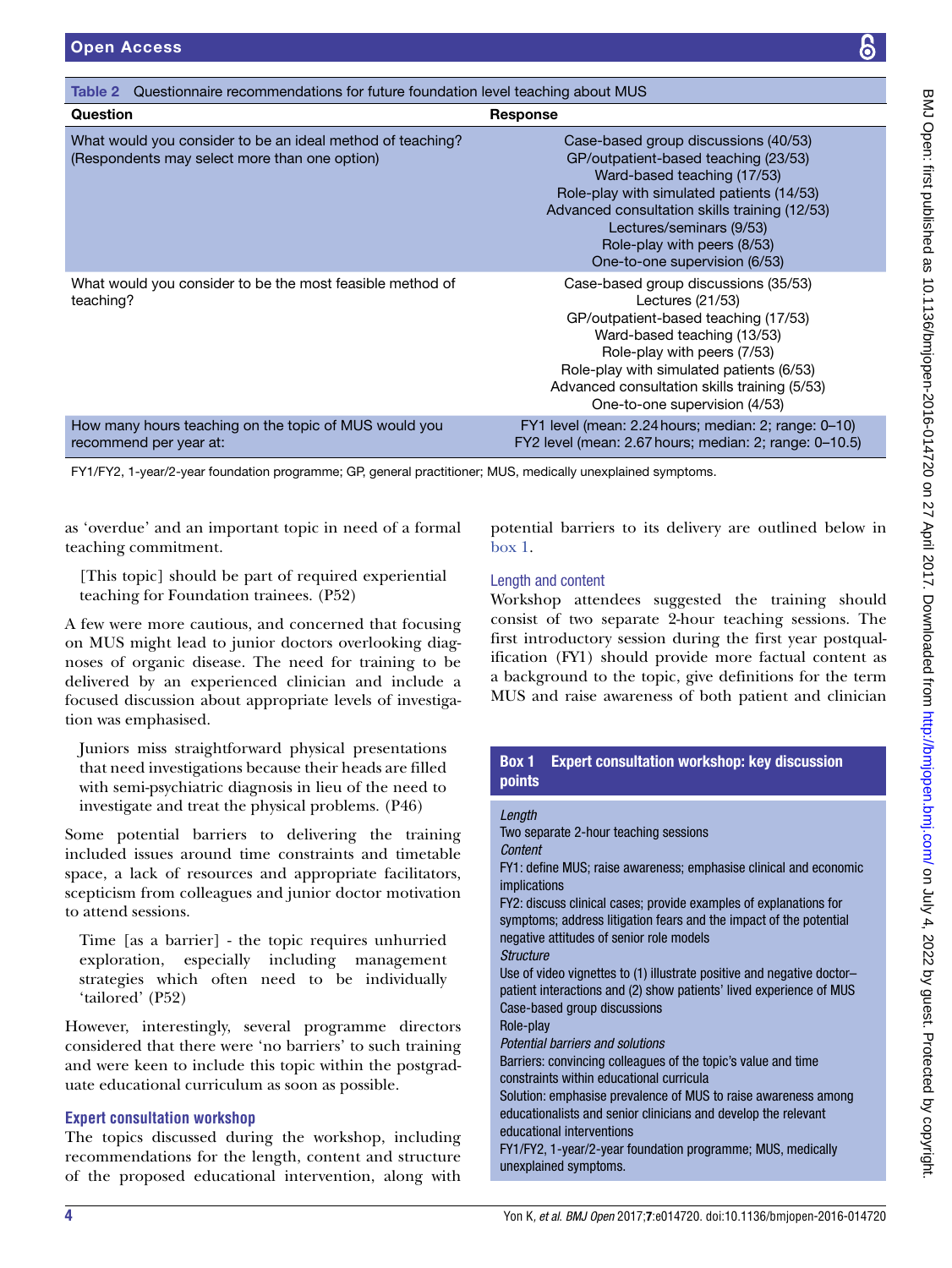<span id="page-3-0"></span>

| Questionnaire recommendations for future foundation level teaching about MUS<br>Table 2                     |                                                                                                                                                                                                                                                                                                       |
|-------------------------------------------------------------------------------------------------------------|-------------------------------------------------------------------------------------------------------------------------------------------------------------------------------------------------------------------------------------------------------------------------------------------------------|
| Question                                                                                                    | <b>Response</b>                                                                                                                                                                                                                                                                                       |
| What would you consider to be an ideal method of teaching?<br>(Respondents may select more than one option) | Case-based group discussions (40/53)<br>GP/outpatient-based teaching (23/53)<br>Ward-based teaching (17/53)<br>Role-play with simulated patients (14/53)<br>Advanced consultation skills training (12/53)<br>Lectures/seminars (9/53)<br>Role-play with peers (8/53)<br>One-to-one supervision (6/53) |
| What would you consider to be the most feasible method of<br>teaching?                                      | Case-based group discussions (35/53)<br>Lectures $(21/53)$<br>GP/outpatient-based teaching (17/53)<br>Ward-based teaching (13/53)<br>Role-play with peers (7/53)<br>Role-play with simulated patients (6/53)<br>Advanced consultation skills training (5/53)<br>One-to-one supervision (4/53)         |

How many hours teaching on the topic of MUS would you recommend per year at: FY1 level (mean: 2.24hours; median: 2; range: 0–10) FY2 level (mean: 2.67hours; median: 2; range: 0–10.5)

FY1/FY2, 1-year/2-year foundation programme; GP, general practitioner; MUS, medically unexplained symptoms.

as 'overdue' and an important topic in need of a formal teaching commitment.

[This topic] should be part of required experiential teaching for Foundation trainees. (P52)

A few were more cautious, and concerned that focusing on MUS might lead to junior doctors overlooking diagnoses of organic disease. The need for training to be delivered by an experienced clinician and include a focused discussion about appropriate levels of investigation was emphasised.

Juniors miss straightforward physical presentations that need investigations because their heads are filled with semi-psychiatric diagnosis in lieu of the need to investigate and treat the physical problems. (P46)

Some potential barriers to delivering the training included issues around time constraints and timetable space, a lack of resources and appropriate facilitators, scepticism from colleagues and junior doctor motivation to attend sessions.

Time [as a barrier] - the topic requires unhurried exploration, especially including management strategies which often need to be individually 'tailored' (P52)

However, interestingly, several programme directors considered that there were 'no barriers' to such training and were keen to include this topic within the postgraduate educational curriculum as soon as possible.

#### **Expert consultation workshop**

The topics discussed during the workshop, including recommendations for the length, content and structure of the proposed educational intervention, along with potential barriers to its delivery are outlined below in [box](#page-3-1) 1.

#### Length and content

Workshop attendees suggested the training should consist of two separate 2-hour teaching sessions. The first introductory session during the first year postqualification (FY1) should provide more factual content as a background to the topic, give definitions for the term MUS and raise awareness of both patient and clinician

# Box 1 Expert consultation workshop: key discussion points

#### <span id="page-3-1"></span>*Length*

Two separate 2-hour teaching sessions *Content* FY1: define MUS; raise awareness; emphasise clinical and economic implications FY2: discuss clinical cases; provide examples of explanations for symptoms; address litigation fears and the impact of the potential negative attitudes of senior role models *Structure* Use of video vignettes to (1) illustrate positive and negative doctor– patient interactions and (2) show patients' lived experience of MUS Case-based group discussions Role-play *Potential barriers and solutions* Barriers: convincing colleagues of the topic's value and time constraints within educational curricula Solution: emphasise prevalence of MUS to raise awareness among educationalists and senior clinicians and develop the relevant educational interventions FY1/FY2, 1-year/2-year foundation programme; MUS, medically unexplained symptoms.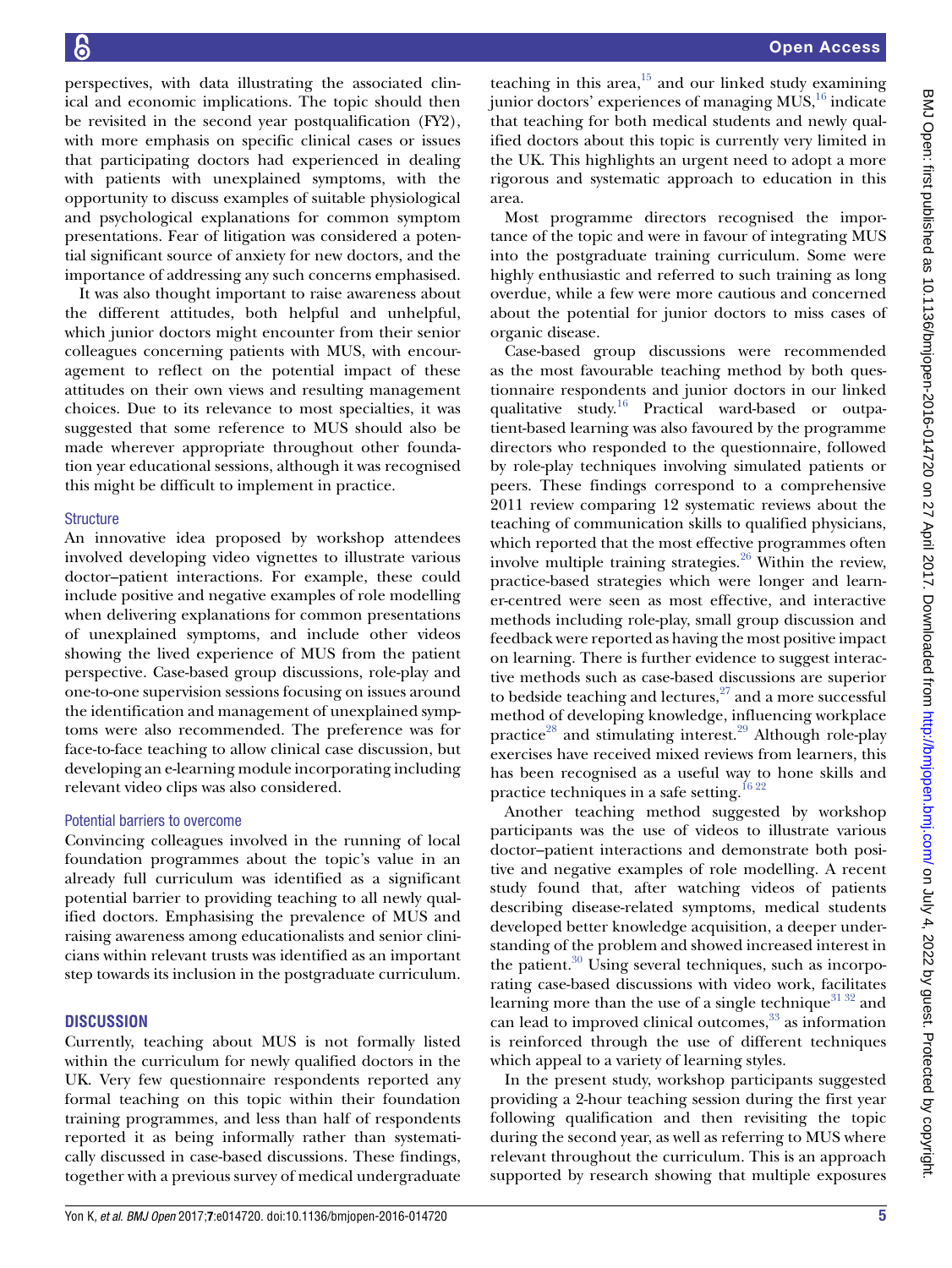perspectives, with data illustrating the associated clinical and economic implications. The topic should then be revisited in the second year postqualification (FY2), with more emphasis on specific clinical cases or issues that participating doctors had experienced in dealing with patients with unexplained symptoms, with the opportunity to discuss examples of suitable physiological and psychological explanations for common symptom presentations. Fear of litigation was considered a potential significant source of anxiety for new doctors, and the importance of addressing any such concerns emphasised.

It was also thought important to raise awareness about the different attitudes, both helpful and unhelpful, which junior doctors might encounter from their senior colleagues concerning patients with MUS, with encouragement to reflect on the potential impact of these attitudes on their own views and resulting management choices. Due to its relevance to most specialties, it was suggested that some reference to MUS should also be made wherever appropriate throughout other foundation year educational sessions, although it was recognised this might be difficult to implement in practice.

#### **Structure**

An innovative idea proposed by workshop attendees involved developing video vignettes to illustrate various doctor–patient interactions. For example, these could include positive and negative examples of role modelling when delivering explanations for common presentations of unexplained symptoms, and include other videos showing the lived experience of MUS from the patient perspective. Case-based group discussions, role-play and one-to-one supervision sessions focusing on issues around the identification and management of unexplained symptoms were also recommended. The preference was for face-to-face teaching to allow clinical case discussion, but developing an e-learning module incorporating including relevant video clips was also considered.

## Potential barriers to overcome

Convincing colleagues involved in the running of local foundation programmes about the topic's value in an already full curriculum was identified as a significant potential barrier to providing teaching to all newly qualified doctors. Emphasising the prevalence of MUS and raising awareness among educationalists and senior clinicians within relevant trusts was identified as an important step towards its inclusion in the postgraduate curriculum.

## **DISCUSSION**

Currently, teaching about MUS is not formally listed within the curriculum for newly qualified doctors in the UK. Very few questionnaire respondents reported any formal teaching on this topic within their foundation training programmes, and less than half of respondents reported it as being informally rather than systematically discussed in case-based discussions. These findings, together with a previous survey of medical undergraduate

teaching in this area, $15$  and our linked study examining junior doctors' experiences of managing  $MUS<sub>16</sub>$  $MUS<sub>16</sub>$  $MUS<sub>16</sub>$  indicate that teaching for both medical students and newly qualified doctors about this topic is currently very limited in the UK. This highlights an urgent need to adopt a more rigorous and systematic approach to education in this area.

Most programme directors recognised the importance of the topic and were in favour of integrating MUS into the postgraduate training curriculum. Some were highly enthusiastic and referred to such training as long overdue, while a few were more cautious and concerned about the potential for junior doctors to miss cases of organic disease.

Case-based group discussions were recommended as the most favourable teaching method by both questionnaire respondents and junior doctors in our linked qualitative study.<sup>16</sup> Practical ward-based or outpatient-based learning was also favoured by the programme directors who responded to the questionnaire, followed by role-play techniques involving simulated patients or peers. These findings correspond to a comprehensive 2011 review comparing 12 systematic reviews about the teaching of communication skills to qualified physicians, which reported that the most effective programmes often involve multiple training strategies. $26$  Within the review, practice-based strategies which were longer and learner-centred were seen as most effective, and interactive methods including role-play, small group discussion and feedback were reported as having the most positive impact on learning. There is further evidence to suggest interactive methods such as case-based discussions are superior to bedside teaching and lectures, $27$  and a more successful method of developing knowledge, influencing workplace practice<sup>28</sup> and stimulating interest.<sup>29</sup> Although role-play exercises have received mixed reviews from learners, this has been recognised as a useful way to hone skills and practice techniques in a safe setting.<sup>16 22</sup>

Another teaching method suggested by workshop participants was the use of videos to illustrate various doctor–patient interactions and demonstrate both positive and negative examples of role modelling. A recent study found that, after watching videos of patients describing disease-related symptoms, medical students developed better knowledge acquisition, a deeper understanding of the problem and showed increased interest in the patient. $30 \text{ Using several techniques, such as incorpo-}$  $30 \text{ Using several techniques, such as incorpo-}$ rating case-based discussions with video work, facilitates learning more than the use of a single technique<sup>[31 32](#page-6-22)</sup> and can lead to improved clinical outcomes, $33$  as information is reinforced through the use of different techniques which appeal to a variety of learning styles.

In the present study, workshop participants suggested providing a 2-hour teaching session during the first year following qualification and then revisiting the topic during the second year, as well as referring to MUS where relevant throughout the curriculum. This is an approach supported by research showing that multiple exposures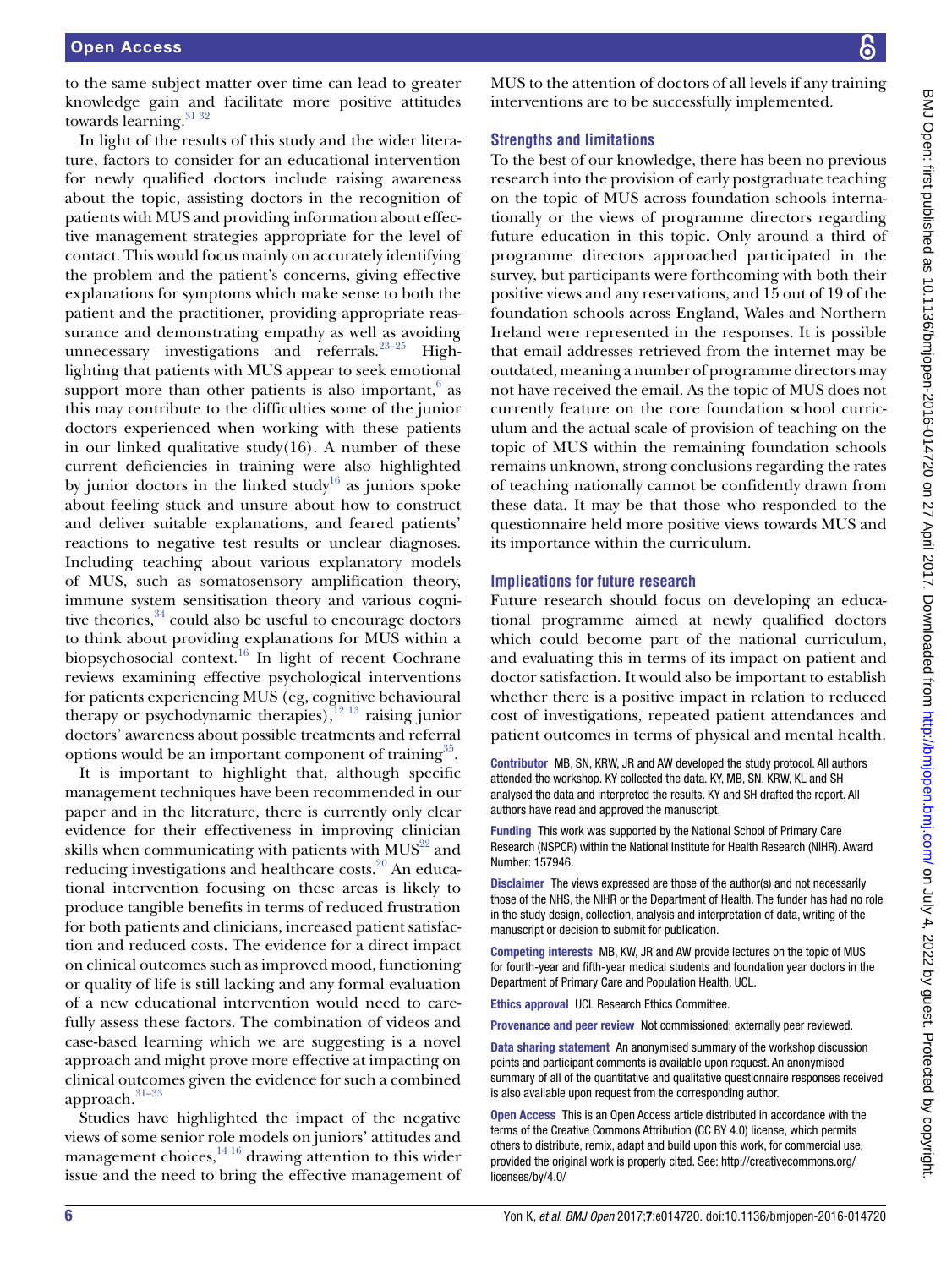to the same subject matter over time can lead to greater knowledge gain and facilitate more positive attitudes towards learning.<sup>[31 32](#page-6-22)</sup>

In light of the results of this study and the wider literature, factors to consider for an educational intervention for newly qualified doctors include raising awareness about the topic, assisting doctors in the recognition of patients with MUS and providing information about effective management strategies appropriate for the level of contact. This would focus mainly on accurately identifying the problem and the patient's concerns, giving effective explanations for symptoms which make sense to both the patient and the practitioner, providing appropriate reassurance and demonstrating empathy as well as avoiding unnecessary investigations and referrals. $23-25$  Highlighting that patients with MUS appear to seek emotional support more than other patients is also important, $6$  as this may contribute to the difficulties some of the junior doctors experienced when working with these patients in our linked qualitative study $(16)$ . A number of these current deficiencies in training were also highlighted by junior doctors in the linked study<sup>16</sup> as juniors spoke about feeling stuck and unsure about how to construct and deliver suitable explanations, and feared patients' reactions to negative test results or unclear diagnoses. Including teaching about various explanatory models of MUS, such as somatosensory amplification theory, immune system sensitisation theory and various cognitive theories,  $34$  could also be useful to encourage doctors to think about providing explanations for MUS within a biopsychosocial context.<sup>16</sup> In light of recent Cochrane reviews examining effective psychological interventions for patients experiencing MUS (eg, cognitive behavioural therapy or psychodynamic therapies), $12^{13}$  raising junior doctors' awareness about possible treatments and referral options would be an important component of training $35$ .

It is important to highlight that, although specific management techniques have been recommended in our paper and in the literature, there is currently only clear evidence for their effectiveness in improving clinician skills when communicating with patients with  $MUS^{22}$  and reducing investigations and healthcare costs.<sup>20</sup> An educational intervention focusing on these areas is likely to produce tangible benefits in terms of reduced frustration for both patients and clinicians, increased patient satisfaction and reduced costs. The evidence for a direct impact on clinical outcomes such as improved mood, functioning or quality of life is still lacking and any formal evaluation of a new educational intervention would need to carefully assess these factors. The combination of videos and case-based learning which we are suggesting is a novel approach and might prove more effective at impacting on clinical outcomes given the evidence for such a combined approach.<sup>31-33</sup>

Studies have highlighted the impact of the negative views of some senior role models on juniors' attitudes and management choices, $14^{16}$  drawing attention to this wider issue and the need to bring the effective management of MUS to the attention of doctors of all levels if any training interventions are to be successfully implemented.

# **Strengths and limitations**

To the best of our knowledge, there has been no previous research into the provision of early postgraduate teaching on the topic of MUS across foundation schools internationally or the views of programme directors regarding future education in this topic. Only around a third of programme directors approached participated in the survey, but participants were forthcoming with both their positive views and any reservations, and 15 out of 19 of the foundation schools across England, Wales and Northern Ireland were represented in the responses. It is possible that email addresses retrieved from the internet may be outdated, meaning a number of programme directors may not have received the email. As the topic of MUS does not currently feature on the core foundation school curriculum and the actual scale of provision of teaching on the topic of MUS within the remaining foundation schools remains unknown, strong conclusions regarding the rates of teaching nationally cannot be confidently drawn from these data. It may be that those who responded to the questionnaire held more positive views towards MUS and its importance within the curriculum.

#### **Implications for future research**

Future research should focus on developing an educational programme aimed at newly qualified doctors which could become part of the national curriculum, and evaluating this in terms of its impact on patient and doctor satisfaction. It would also be important to establish whether there is a positive impact in relation to reduced cost of investigations, repeated patient attendances and patient outcomes in terms of physical and mental health.

Contributor MB, SN, KRW, JR and AW developed the study protocol. All authors attended the workshop. KY collected the data. KY, MB, SN, KRW, KL and SH analysed the data and interpreted the results. KY and SH drafted the report. All authors have read and approved the manuscript.

Funding This work was supported by the National School of Primary Care Research (NSPCR) within the National Institute for Health Research (NIHR). Award Number: 157946.

Disclaimer The views expressed are those of the author(s) and not necessarily those of the NHS, the NIHR or the Department of Health. The funder has had no role in the study design, collection, analysis and interpretation of data, writing of the manuscript or decision to submit for publication.

Competing interests MB, KW, JR and AW provide lectures on the topic of MUS for fourth-year and fifth-year medical students and foundation year doctors in the Department of Primary Care and Population Health, UCL.

Ethics approval UCL Research Ethics Committee.

Provenance and peer review Not commissioned; externally peer reviewed.

Data sharing statement An anonymised summary of the workshop discussion points and participant comments is available upon request. An anonymised summary of all of the quantitative and qualitative questionnaire responses received is also available upon request from the corresponding author.

Open Access This is an Open Access article distributed in accordance with the terms of the Creative Commons Attribution (CC BY 4.0) license, which permits others to distribute, remix, adapt and build upon this work, for commercial use, provided the original work is properly cited. See: [http://creativecommons.org/](http://creativecommons.org/licenses/by/4.0/) [licenses/by/4.0/](http://creativecommons.org/licenses/by/4.0/)